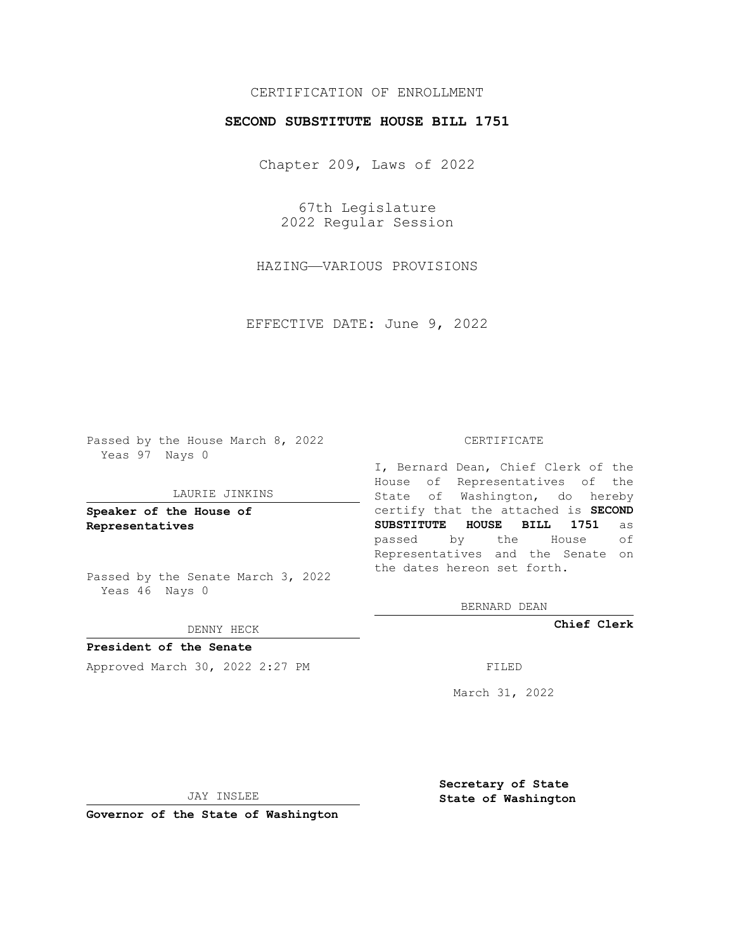# CERTIFICATION OF ENROLLMENT

## **SECOND SUBSTITUTE HOUSE BILL 1751**

Chapter 209, Laws of 2022

67th Legislature 2022 Regular Session

HAZING—VARIOUS PROVISIONS

EFFECTIVE DATE: June 9, 2022

Passed by the House March 8, 2022 Yeas 97 Nays 0

#### LAURIE JINKINS

**Speaker of the House of Representatives**

Passed by the Senate March 3, 2022 Yeas 46 Nays 0

### DENNY HECK

**President of the Senate** Approved March 30, 2022 2:27 PM

#### CERTIFICATE

I, Bernard Dean, Chief Clerk of the House of Representatives of the State of Washington, do hereby certify that the attached is **SECOND SUBSTITUTE HOUSE BILL 1751** as passed by the House of Representatives and the Senate on the dates hereon set forth.

BERNARD DEAN

**Chief Clerk**

March 31, 2022

JAY INSLEE

**Governor of the State of Washington**

**Secretary of State State of Washington**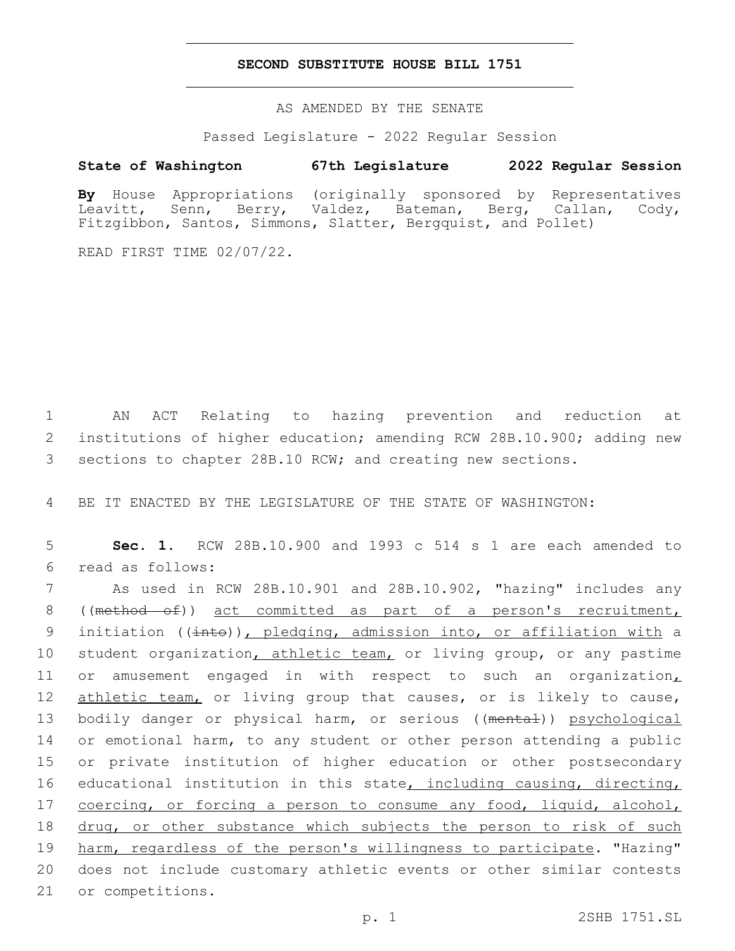## **SECOND SUBSTITUTE HOUSE BILL 1751**

AS AMENDED BY THE SENATE

Passed Legislature - 2022 Regular Session

## **State of Washington 67th Legislature 2022 Regular Session**

**By** House Appropriations (originally sponsored by Representatives Leavitt, Senn, Berry, Valdez, Bateman, Berg, Callan, Cody, Fitzgibbon, Santos, Simmons, Slatter, Bergquist, and Pollet)

READ FIRST TIME 02/07/22.

1 AN ACT Relating to hazing prevention and reduction at 2 institutions of higher education; amending RCW 28B.10.900; adding new 3 sections to chapter 28B.10 RCW; and creating new sections.

4 BE IT ENACTED BY THE LEGISLATURE OF THE STATE OF WASHINGTON:

5 **Sec. 1.** RCW 28B.10.900 and 1993 c 514 s 1 are each amended to read as follows:6

7 As used in RCW 28B.10.901 and 28B.10.902, "hazing" includes any 8 ((method of)) act committed as part of a person's recruitment, 9 initiation (( $\frac{1}{1}$ ), pledging, admission into, or affiliation with a 10 student organization, athletic team, or living group, or any pastime 11 or amusement engaged in with respect to such an organization, 12 athletic team, or living group that causes, or is likely to cause, 13 bodily danger or physical harm, or serious ((mental)) psychological 14 or emotional harm, to any student or other person attending a public 15 or private institution of higher education or other postsecondary 16 educational institution in this state, including causing, directing, 17 coercing, or forcing a person to consume any food, liquid, alcohol, 18 drug, or other substance which subjects the person to risk of such 19 harm, regardless of the person's willingness to participate. "Hazing" 20 does not include customary athletic events or other similar contests 21 or competitions.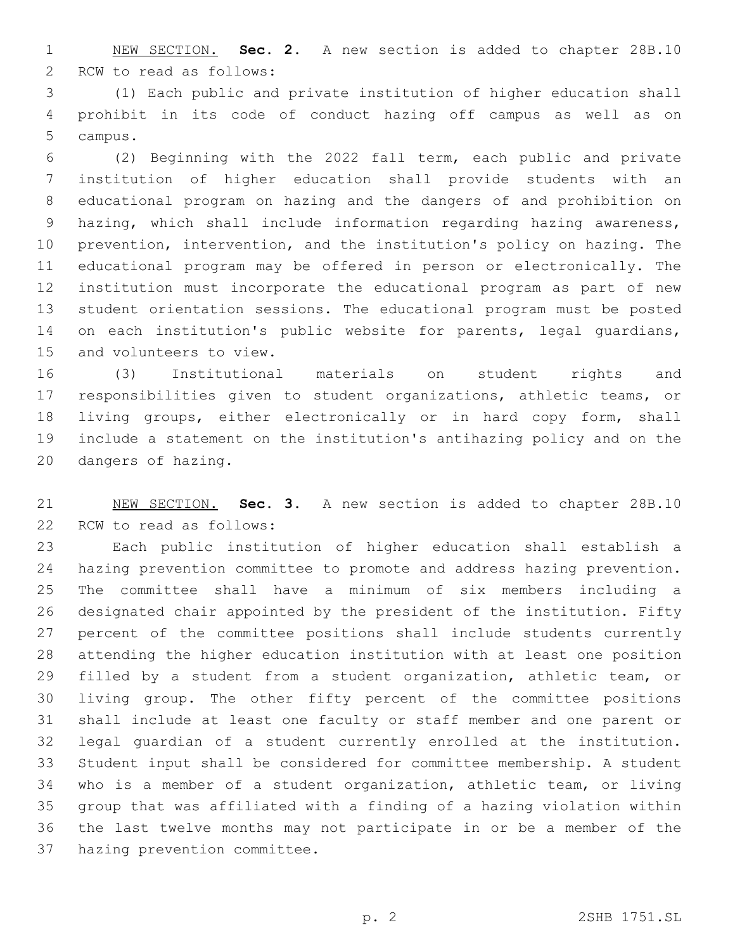NEW SECTION. **Sec. 2.** A new section is added to chapter 28B.10 2 RCW to read as follows:

 (1) Each public and private institution of higher education shall prohibit in its code of conduct hazing off campus as well as on 5 campus.

 (2) Beginning with the 2022 fall term, each public and private institution of higher education shall provide students with an educational program on hazing and the dangers of and prohibition on hazing, which shall include information regarding hazing awareness, prevention, intervention, and the institution's policy on hazing. The educational program may be offered in person or electronically. The institution must incorporate the educational program as part of new student orientation sessions. The educational program must be posted 14 on each institution's public website for parents, legal quardians, 15 and volunteers to view.

 (3) Institutional materials on student rights and responsibilities given to student organizations, athletic teams, or living groups, either electronically or in hard copy form, shall include a statement on the institution's antihazing policy and on the 20 dangers of hazing.

 NEW SECTION. **Sec. 3.** A new section is added to chapter 28B.10 22 RCW to read as follows:

 Each public institution of higher education shall establish a hazing prevention committee to promote and address hazing prevention. The committee shall have a minimum of six members including a designated chair appointed by the president of the institution. Fifty percent of the committee positions shall include students currently attending the higher education institution with at least one position filled by a student from a student organization, athletic team, or living group. The other fifty percent of the committee positions shall include at least one faculty or staff member and one parent or legal guardian of a student currently enrolled at the institution. Student input shall be considered for committee membership. A student who is a member of a student organization, athletic team, or living group that was affiliated with a finding of a hazing violation within the last twelve months may not participate in or be a member of the 37 hazing prevention committee.

p. 2 2SHB 1751.SL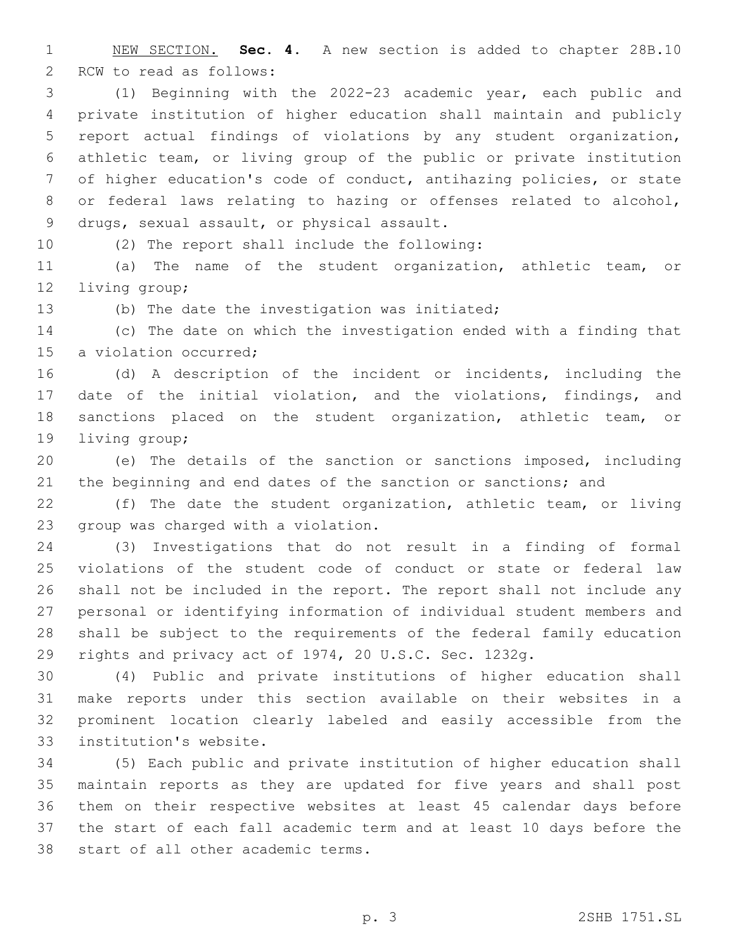NEW SECTION. **Sec. 4.** A new section is added to chapter 28B.10 2 RCW to read as follows:

 (1) Beginning with the 2022-23 academic year, each public and private institution of higher education shall maintain and publicly report actual findings of violations by any student organization, athletic team, or living group of the public or private institution of higher education's code of conduct, antihazing policies, or state or federal laws relating to hazing or offenses related to alcohol, 9 drugs, sexual assault, or physical assault.

10 (2) The report shall include the following:

 (a) The name of the student organization, athletic team, or 12 living group;

13 (b) The date the investigation was initiated;

 (c) The date on which the investigation ended with a finding that 15 a violation occurred;

 (d) A description of the incident or incidents, including the date of the initial violation, and the violations, findings, and sanctions placed on the student organization, athletic team, or 19 living group;

 (e) The details of the sanction or sanctions imposed, including the beginning and end dates of the sanction or sanctions; and

 (f) The date the student organization, athletic team, or living 23 group was charged with a violation.

 (3) Investigations that do not result in a finding of formal violations of the student code of conduct or state or federal law shall not be included in the report. The report shall not include any personal or identifying information of individual student members and shall be subject to the requirements of the federal family education rights and privacy act of 1974, 20 U.S.C. Sec. 1232g.

 (4) Public and private institutions of higher education shall make reports under this section available on their websites in a prominent location clearly labeled and easily accessible from the 33 institution's website.

 (5) Each public and private institution of higher education shall maintain reports as they are updated for five years and shall post them on their respective websites at least 45 calendar days before the start of each fall academic term and at least 10 days before the 38 start of all other academic terms.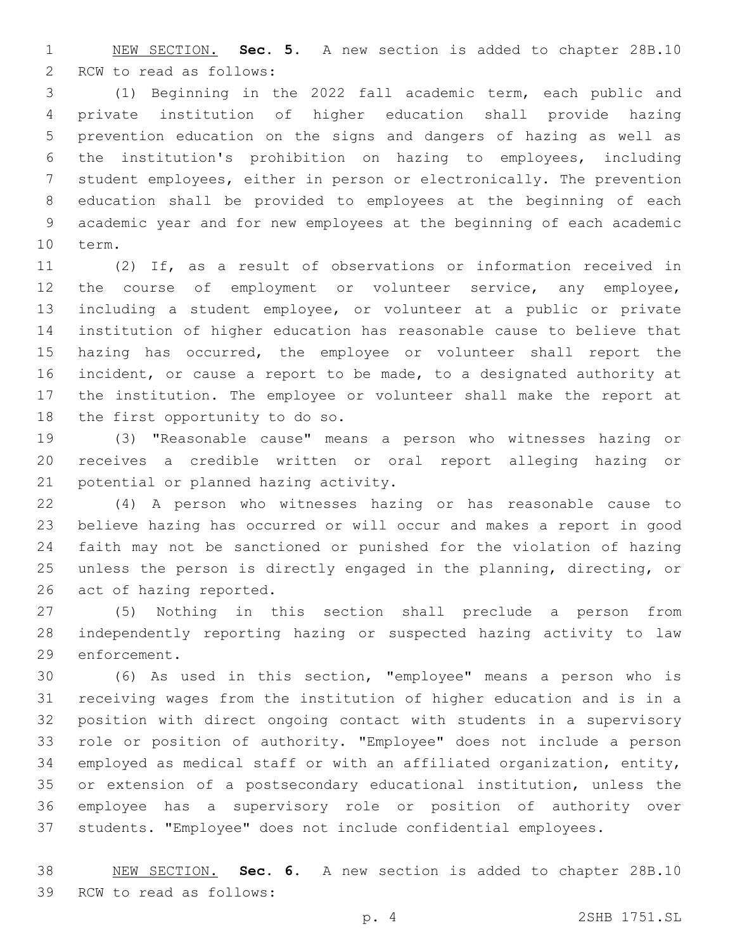NEW SECTION. **Sec. 5.** A new section is added to chapter 28B.10 2 RCW to read as follows:

 (1) Beginning in the 2022 fall academic term, each public and private institution of higher education shall provide hazing prevention education on the signs and dangers of hazing as well as the institution's prohibition on hazing to employees, including student employees, either in person or electronically. The prevention education shall be provided to employees at the beginning of each academic year and for new employees at the beginning of each academic 10 term.

 (2) If, as a result of observations or information received in 12 the course of employment or volunteer service, any employee, including a student employee, or volunteer at a public or private institution of higher education has reasonable cause to believe that hazing has occurred, the employee or volunteer shall report the incident, or cause a report to be made, to a designated authority at the institution. The employee or volunteer shall make the report at 18 the first opportunity to do so.

 (3) "Reasonable cause" means a person who witnesses hazing or receives a credible written or oral report alleging hazing or 21 potential or planned hazing activity.

 (4) A person who witnesses hazing or has reasonable cause to believe hazing has occurred or will occur and makes a report in good faith may not be sanctioned or punished for the violation of hazing unless the person is directly engaged in the planning, directing, or 26 act of hazing reported.

 (5) Nothing in this section shall preclude a person from independently reporting hazing or suspected hazing activity to law 29 enforcement.

 (6) As used in this section, "employee" means a person who is receiving wages from the institution of higher education and is in a position with direct ongoing contact with students in a supervisory role or position of authority. "Employee" does not include a person employed as medical staff or with an affiliated organization, entity, or extension of a postsecondary educational institution, unless the employee has a supervisory role or position of authority over students. "Employee" does not include confidential employees.

 NEW SECTION. **Sec. 6.** A new section is added to chapter 28B.10 39 RCW to read as follows: